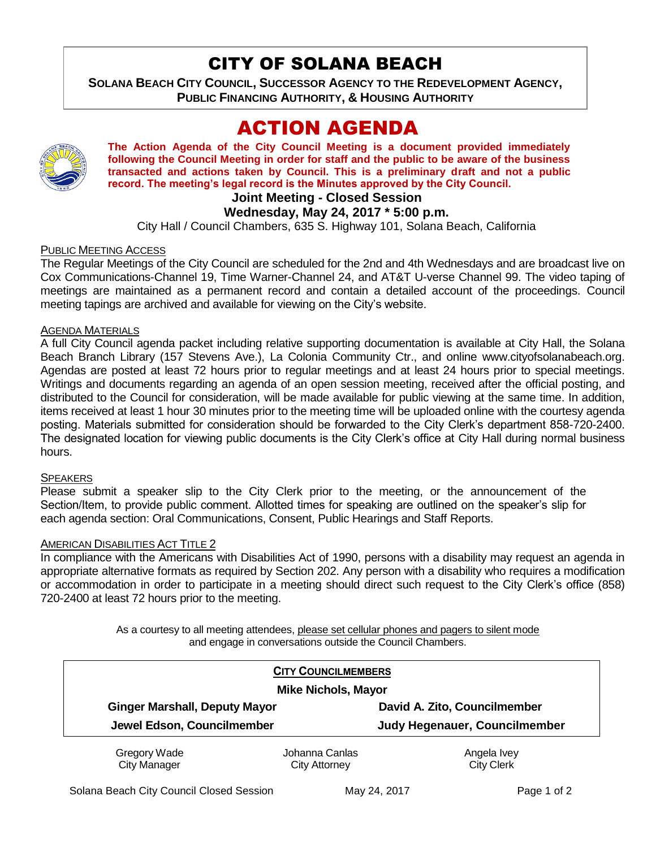## CITY OF SOLANA BEACH

**SOLANA BEACH CITY COUNCIL, SUCCESSOR AGENCY TO THE REDEVELOPMENT AGENCY, PUBLIC FINANCING AUTHORITY, & HOUSING AUTHORITY** 

# ACTION AGENDA



**The Action Agenda of the City Council Meeting is a document provided immediately following the Council Meeting in order for staff and the public to be aware of the business transacted and actions taken by Council. This is a preliminary draft and not a public record. The meeting's legal record is the Minutes approved by the City Council.**

#### **Joint Meeting - Closed Session**

#### **Wednesday, May 24, 2017 \* 5:00 p.m.**

City Hall / Council Chambers, 635 S. Highway 101, Solana Beach, California

#### PUBLIC MEETING ACCESS

The Regular Meetings of the City Council are scheduled for the 2nd and 4th Wednesdays and are broadcast live on Cox Communications-Channel 19, Time Warner-Channel 24, and AT&T U-verse Channel 99. The video taping of meetings are maintained as a permanent record and contain a detailed account of the proceedings. Council meeting tapings are archived and available for viewing on the City's website.

#### AGENDA MATERIALS

A full City Council agenda packet including relative supporting documentation is available at City Hall, the Solana Beach Branch Library (157 Stevens Ave.), La Colonia Community Ctr., and online www.cityofsolanabeach.org. Agendas are posted at least 72 hours prior to regular meetings and at least 24 hours prior to special meetings. Writings and documents regarding an agenda of an open session meeting, received after the official posting, and distributed to the Council for consideration, will be made available for public viewing at the same time. In addition, items received at least 1 hour 30 minutes prior to the meeting time will be uploaded online with the courtesy agenda posting. Materials submitted for consideration should be forwarded to the City Clerk's department 858-720-2400. The designated location for viewing public documents is the City Clerk's office at City Hall during normal business hours.

#### **SPEAKERS**

Please submit a speaker slip to the City Clerk prior to the meeting, or the announcement of the Section/Item, to provide public comment. Allotted times for speaking are outlined on the speaker's slip for each agenda section: Oral Communications, Consent, Public Hearings and Staff Reports.

#### AMERICAN DISABILITIES ACT TITLE 2

In compliance with the Americans with Disabilities Act of 1990, persons with a disability may request an agenda in appropriate alternative formats as required by Section 202. Any person with a disability who requires a modification or accommodation in order to participate in a meeting should direct such request to the City Clerk's office (858) 720-2400 at least 72 hours prior to the meeting.

> As a courtesy to all meeting attendees, please set cellular phones and pagers to silent mode and engage in conversations outside the Council Chambers.

|                                      | <b>CITY COUNCILMEMBERS</b> |                               |
|--------------------------------------|----------------------------|-------------------------------|
| <b>Mike Nichols, Mayor</b>           |                            |                               |
| <b>Ginger Marshall, Deputy Mayor</b> |                            | David A. Zito, Councilmember  |
| Jewel Edson, Councilmember           |                            | Judy Hegenauer, Councilmember |
| Gregory Wade                         | Johanna Canlas             | Angela Ivey                   |
| <b>City Manager</b>                  | City Attorney              | <b>City Clerk</b>             |